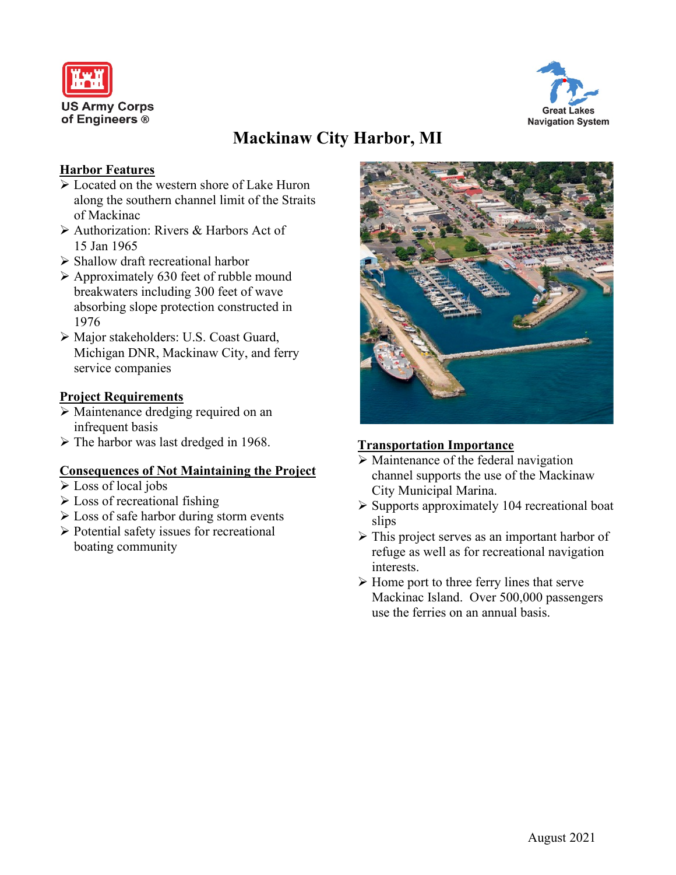



# **Mackinaw City Harbor, MI**

## **Harbor Features**

- $\sqrt{\phantom{a}}$  Located on the western shore of Lake Huron along the southern channel limit of the Straits of Mackinac
- Authorization: Rivers & Harbors Act of 15 Jan 1965
- $\triangleright$  Shallow draft recreational harbor
- $\triangleright$  Approximately 630 feet of rubble mound breakwaters including 300 feet of wave absorbing slope protection constructed in 1976
- Major stakeholders: U.S. Coast Guard, Michigan DNR, Mackinaw City, and ferry service companies

## **Project Requirements**

- Maintenance dredging required on an infrequent basis
- $\triangleright$  The harbor was last dredged in 1968.

## **Consequences of Not Maintaining the Project**

- Loss of local jobs
- $\triangleright$  Loss of recreational fishing
- $\triangleright$  Loss of safe harbor during storm events
- Potential safety issues for recreational boating community



## **Transportation Importance**

- $\triangleright$  Maintenance of the federal navigation channel supports the use of the Mackinaw City Municipal Marina.
- $\triangleright$  Supports approximately 104 recreational boat slips
- $\triangleright$  This project serves as an important harbor of refuge as well as for recreational navigation interests.
- $\triangleright$  Home port to three ferry lines that serve Mackinac Island. Over 500,000 passengers use the ferries on an annual basis.